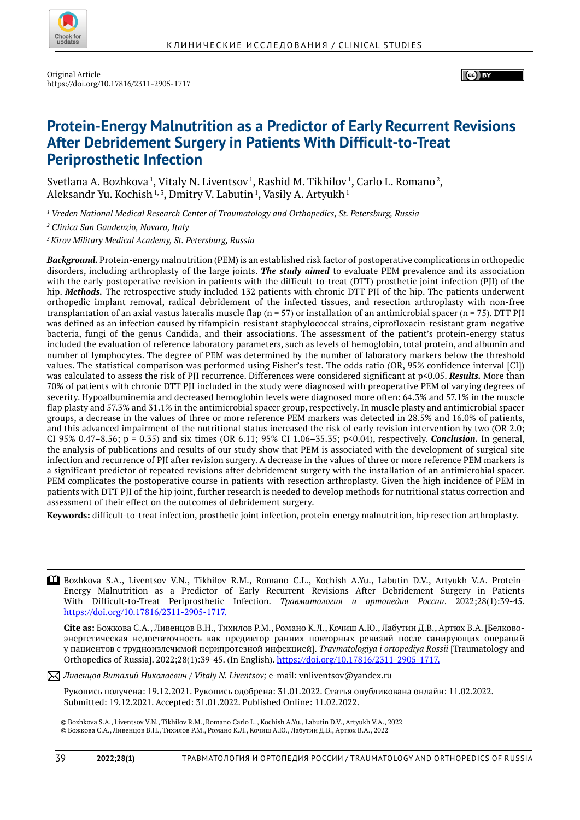

(ce) BY

# **Protein-Energy Malnutrition as a Predictor of Early Recurrent Revisions After Debridement Surgery in Patients With Difficult-to-Treat Periprosthetic Infection**

Svetlana A. Bozhkova  $^1$ , Vitaly N. Liventsov  $^1$ , Rashid M. Tikhilov  $^1$ , Carlo L. Romano  $^2$ , Aleksandr Yu. Kochish 1,3, Dmitry V. Labutin 1, Vasily A. Artyukh 1

*1 Vreden National Medical Research Center of Traumatology and Orthopedics, St. Petersburg, Russia*

*2 Clinica San Gaudenzio, Novara, Italy*

*3 Kirov Military Medical Academy, St. Petersburg, Russia*

*Background.* Protein-energy malnutrition (PEM) is an established risk factor of postoperative complications in orthopedic disorders, including arthroplasty of the large joints. *The study aimed* to evaluate PEM prevalence and its association with the early postoperative revision in patients with the difficult-to-treat (DTT) prosthetic joint infection (PJI) of the hip. *Methods.* The retrospective study included 132 patients with chronic DTT PJI of the hip. The patients underwent orthopedic implant removal, radical debridement of the infected tissues, and resection arthroplasty with non-free transplantation of an axial vastus lateralis muscle flap ( $n = 57$ ) or installation of an antimicrobial spacer ( $n = 75$ ). DTT PJI was defined as an infection caused by rifampicin-resistant staphylococcal strains, ciprofloxacin-resistant gram-negative bacteria, fungi of the genus Candida, and their associations. The assessment of the patient's protein-energy status included the evaluation of reference laboratory parameters, such as levels of hemoglobin, total protein, and albumin and number of lymphocytes. The degree of PEM was determined by the number of laboratory markers below the threshold values. The statistical comparison was performed using Fisher's test. The odds ratio (OR, 95% confidence interval [CI]) was calculated to assess the risk of PJI recurrence. Differences were considered significant at p<0.05. *Results.* More than 70% of patients with chronic DTT PJI included in the study were diagnosed with preoperative PEM of varying degrees of severity. Hypoalbuminemia and decreased hemoglobin levels were diagnosed more often: 64.3% and 57.1% in the muscle flap plasty and 57.3% and 31.1% in the antimicrobial spacer group, respectively. In muscle plasty and antimicrobial spacer groups, a decrease in the values of three or more reference PEM markers was detected in 28.5% and 16.0% of patients, and this advanced impairment of the nutritional status increased the risk of early revision intervention by two (OR 2.0; CI 95% 0.47–8.56; p = 0.35) and six times (OR 6.11; 95% CI 1.06–35.35; p<0.04), respectively. *Conclusion.* In general, the analysis of publications and results of our study show that PEM is associated with the development of surgical site infection and recurrence of PJI after revision surgery. A decrease in the values of three or more reference PEM markers is a significant predictor of repeated revisions after debridement surgery with the installation of an antimicrobial spacer. PEM complicates the postoperative course in patients with resection arthroplasty. Given the high incidence of PEM in patients with DTT PJI of the hip joint, further research is needed to develop methods for nutritional status correction and assessment of their effect on the outcomes of debridement surgery.

**Keywords:** difficult-to-treat infection, prosthetic joint infection, protein-energy malnutrition, hip resection arthroplasty.

Bozhkova S.A., Liventsov V.N., Tikhilov R.M., Romano C.L., Kochish A.Yu., Labutin D.V., Artyukh V.A. Protein- Energy Malnutrition as a Predictor of Early Recurrent Revisions After Debridement Surgery in Patients With Difficult-to-Treat Periprosthetic Infection. *Травматология и ортопедия России*. 2022;28(1):39-45. https://doi.org/10.17816/2311-2905-1717.

**Cite as:** Божкова С.А., Ливенцов В.Н., Тихилов Р.М., Романо К.Л., Кочиш А.Ю., Лабутин Д.В., Артюх В.А. [Белковоэнергетическая недостаточность как предиктор ранних повторных ревизий после санирующих операций у пациентов с трудноизлечимой перипротезной инфекцией]. *Travmatologiya i ortopediya Rossii* [Traumatology and Orthopedics of Russia]. 2022;28(1):39-45. (In English). https://doi.org/10.17816/2311-2905-1717.

*Ливенцов Виталий Николаевич / Vitaly N. Liventsov;* e-mail: vnliventsov@yandex.ru

Рукопись получена: 19.12.2021. Рукопись одобрена: 31.01.2022. Cтатья опубликована онлайн: 11.02.2022. Submitted: 19.12.2021. Accepted: 31.01.2022. Published Online: 11.02.2022.

© Bozhkova S.A., Liventsov V.N., Tikhilov R.M., Romano Carlo L. , Kochish A.Yu., Labutin D.V., Artyukh V.A., 2022 © Божкова С.А., Ливенцов В.Н., Тихилов Р.М., Романо К.Л., Кочиш А.Ю., Лабутин Д.В., Артюх В.А., 2022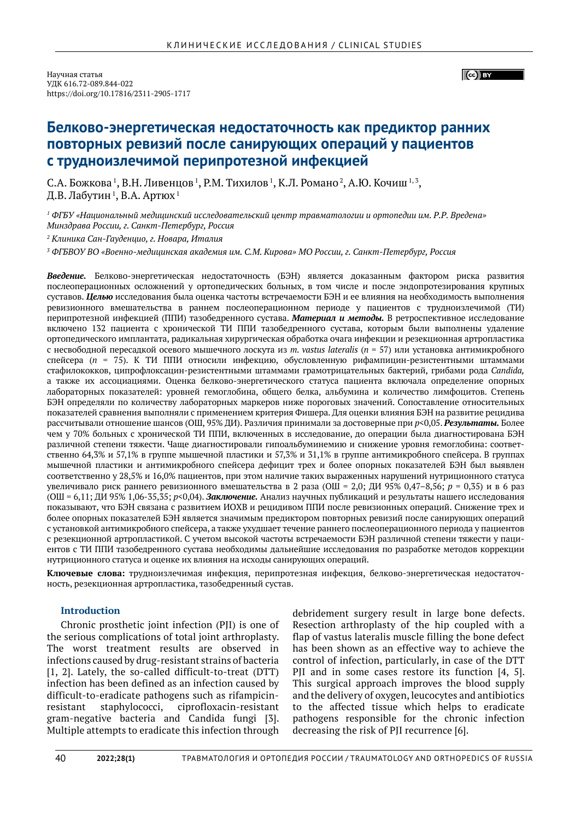$\left(\begin{matrix} \begin{matrix} 1 \\ 1 \end{matrix} \end{matrix}\right)$  BY

# **Белково-энергетическая недостаточность как предиктор ранних повторных ревизий после санирующих операций у пациентов с трудноизлечимой перипротезной инфекцией**

С.А. Божкова<sup>1</sup>, В.Н. Ливенцов<sup>1</sup>, Р.М. Тихилов<sup>1</sup>, К.Л. Романо<sup>2</sup>, А.Ю. Кочиш<sup>1,3</sup>, Д.В. Лабутин  $^{\rm 1}$ , В.А. Артюх  $^{\rm 1}$ 

*1 ФГБУ «Национальный медицинский исследовательский центр травматологии и ортопедии им. Р.Р. Вредена» Минздрава России, г. Санкт-Петербург, Россия*

*2 Клиника Сан-Гауденцио, г. Новара, Италия*

*3 ФГБВОУ ВО «Военно-медицинская академия им. С.М. Кирова» МО России, г. Санкт-Петербург, Россия*

*Введение.* Белково-энергетическая недостаточность (БЭН) является доказанным фактором риска развития послеоперационных осложнений у ортопедических больных, в том числе и после эндопротезирования крупных суставов. *Целью* исследования была оценка частоты встречаемости БЭН и ее влияния на необходимость выполнения ревизионного вмешательства в раннем послеоперационном периоде у пациентов с трудноизлечимой (ТИ) перипротезной инфекцией (ППИ) тазобедренного сустава. *Материал и методы.* В ретроспективное исследование включено 132 пациента с хронической ТИ ППИ тазобедренного сустава, которым были выполнены удаление ортопедического имплантата, радикальная хирургическая обработка очага инфекции и резекционная артропластика с несвободной пересадкой осевого мышечного лоскута из *m. vastus lateralis* (*n* = 57) или установка антимикробного спейсера (*n* = 75). К ТИ ППИ относили инфекцию, обусловленную рифампицин-резистентными штаммами стафилококков, ципрофлоксацин-резистентными штаммами грамотрицательных бактерий, грибами рода *Candida,* а также их ассоциациями. Оценка белково-энергетического статуса пациента включала определение опорных лабораторных показателей: уровней гемоглобина, общего белка, альбумина и количество лимфоцитов. Степень БЭН определяли по количеству лабораторных маркеров ниже пороговых значений. Сопоставление относительных показателей сравнения выполняли с применением критерия Фишера. Для оценки влияния БЭН на развитие рецидива рассчитывали отношение шансов (ОШ, 95% ДИ). Различия принимали за достоверные при *p*<0,05. *Результаты.* Более чем у 70% больных с хронической ТИ ППИ, включенных в исследование, до операции была диагностирована БЭН различной степени тяжести. Чаще диагностировали гипоальбуминемию и снижение уровня гемоглобина: соответственно 64,3% и 57,1% в группе мышечной пластики и 57,3% и 31,1% в группе антимикробного спейсера. В группах мышечной пластики и антимикробного спейсера дефицит трех и более опорных показателей БЭН был выявлен соответственно у 28,5% и 16,0% пациентов, при этом наличие таких выраженных нарушений нутриционного статуса увеличивало риск раннего ревизионного вмешательства в 2 раза (ОШ = 2,0; ДИ 95% 0,47–8,56; *p* = 0,35) и в 6 раз (ОШ = 6,11; ДИ 95% 1,06-35,35; *p*<0,04). *Заключение.* Анализ научных публикаций и результаты нашего исследования показывают, что БЭН связана с развитием ИОХВ и рецидивом ППИ после ревизионных операций. Снижение трех и более опорных показателей БЭН является значимым предиктором повторных ревизий после санирующих операций с установкой антимикробного спейсера, а также ухудшает течение раннего послеоперационного периода у пациентов с резекционной артропластикой. С учетом высокой частоты встречаемости БЭН различной степени тяжести у пациентов с ТИ ППИ тазобедренного сустава необходимы дальнейшие исследования по разработке методов коррекции нутриционного статуса и оценке их влияния на исходы санирующих операций.

**Ключевые слова:** трудноизлечимая инфекция, перипротезная инфекция, белково-энергетическая недостаточность, резекционная артропластика, тазобедренный сустав.

# **Introduction**

Chronic prosthetic joint infection (PJI) is one of the serious complications of total joint arthroplasty. The worst treatment results are observed in infections caused by drug-resistant strains of bacteria [1, 2]. Lately, the so-called difficult-to-treat (DTT) infection has been defined as an infection caused by difficult-to-eradicate pathogens such as rifampicinresistant staphylococci, ciprofloxacin-resistant gram-negative bacteria and Candida fungi [3]. Multiple attempts to eradicate this infection through

debridement surgery result in large bone defects. Resection arthroplasty of the hip coupled with a flap of vastus lateralis muscle filling the bone defect has been shown as an effective way to achieve the control of infection, particularly, in case of the DTT PJI and in some cases restore its function [4, 5]. This surgical approach improves the blood supply and the delivery of oxygen, leucocytes and antibiotics to the affected tissue which helps to eradicate pathogens responsible for the chronic infection decreasing the risk of PJI recurrence [6].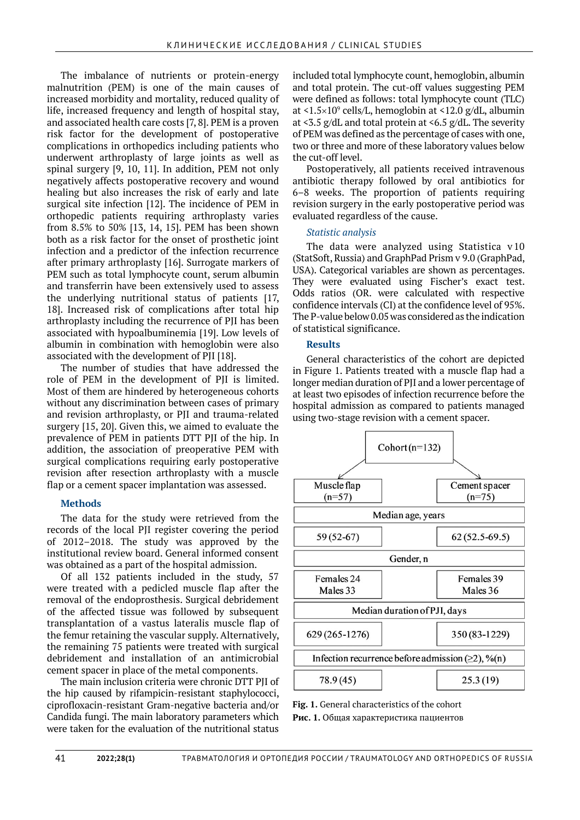The imbalance of nutrients or protein-energy malnutrition (PEM) is one of the main causes of increased morbidity and mortality, reduced quality of life, increased frequency and length of hospital stay, and associated health care costs [7, 8]. PEM is a proven risk factor for the development of postoperative complications in orthopedics including patients who underwent arthroplasty of large joints as well as spinal surgery [9, 10, 11]. In addition, PEM not only negatively affects postoperative recovery and wound healing but also increases the risk of early and late surgical site infection [12]. The incidence of PEM in orthopedic patients requiring arthroplasty varies from 8.5% to 50% [13, 14, 15]. PEM has been shown both as a risk factor for the onset of prosthetic joint infection and a predictor of the infection recurrence after primary arthroplasty [16]. Surrogate markers of PEM such as total lymphocyte count, serum albumin and transferrin have been extensively used to assess the underlying nutritional status of patients [17, 18]. Increased risk of complications after total hip arthroplasty including the recurrence of PJI has been associated with hypoalbuminemia [19]. Low levels of albumin in combination with hemoglobin were also associated with the development of PJI [18].

The number of studies that have addressed the role of PEM in the development of PJI is limited. Most of them are hindered by heterogeneous cohorts without any discrimination between cases of primary and revision arthroplasty, or PJI and trauma-related surgery [15, 20]. Given this, we aimed to evaluate the prevalence of PEM in patients DTT PJI of the hip. In addition, the association of preoperative PEM with surgical complications requiring early postoperative revision after resection arthroplasty with a muscle flap or a cement spacer implantation was assessed.

# **Methods**

The data for the study were retrieved from the records of the local PII register covering the period of 2012–2018. The study was approved by the institutional review board. General informed consent was obtained as a part of the hospital admission.

Of all 132 patients included in the study, 57 were treated with a pedicled muscle flap after the removal of the endoprosthesis. Surgical debridement of the affected tissue was followed by subsequent transplantation of a vastus lateralis muscle flap of the femur retaining the vascular supply. Alternatively, the remaining 75 patients were treated with surgical debridement and installation of an antimicrobial cement spacer in place of the metal components.

The main inclusion criteria were chronic DTT PJI of the hip caused by rifampicin-resistant staphylococci, ciprofloxacin-resistant Gram-negative bacteria and/or Candida fungi. The main laboratory parameters which were taken for the evaluation of the nutritional status

included total lymphocyte count, hemoglobin, albumin and total protein. The cut-off values suggesting PEM were defined as follows: total lymphocyte count (TLC) at  $\langle 1.5 \times 10^9 \text{ cells/L}$ , hemoglobin at  $\langle 12.0 \text{ g/dL}$ , albumin at <3.5 g/dL and total protein at <6.5 g/dL. The severity of PEM was defined as the percentage of cases with one, two or three and more of these laboratory values below the cut-off level.

Postoperatively, all patients received intravenous antibiotic therapy followed by oral antibiotics for 6–8 weeks. The proportion of patients requiring revision surgery in the early postoperative period was evaluated regardless of the cause.

# *Statistic analysis*

The data were analyzed using Statistica v 10 (StatSoft, Russia) and GraphPad Prism v 9.0 (GraphPad, USA). Categorical variables are shown as percentages. They were evaluated using Fischer's exact test. Odds ratios (OR. were calculated with respective confidence intervals (CI) at the confidence level of 95%. The P-value below 0.05 was considered as the indication of statistical significance.

# **Results**

General characteristics of the cohort are depicted in Figure 1. Patients treated with a muscle flap had a longer median duration of PJI and a lower percentage of at least two episodes of infection recurrence before the hospital admission as compared to patients managed using two-stage revision with a cement spacer.



**Fig. 1.** General characteristics of the cohort **Рис. 1.** Общая характеристика пациентов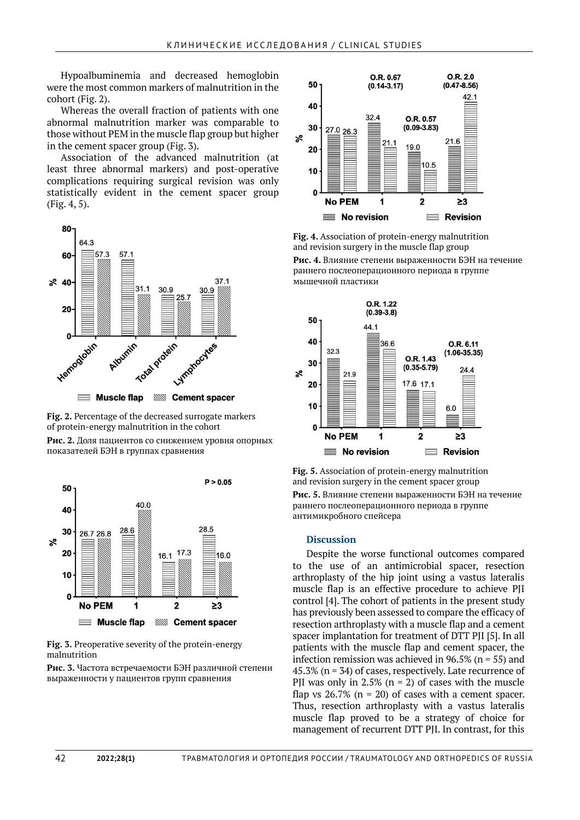Hypoalbuminemia and decreased hemoglobin were the most common markers of malnutrition in the cohort (Fig. 2).

Whereas the overall fraction of patients with one abnormal malnutrition marker was comparable to those without PEM in the muscle flap group but higher in the cement spacer group (Fig. 3).

Association of the advanced malnutrition (at least three abnormal markers) and post-operative complications requiring surgical revision was only statistically evident in the cement spacer group (Fig. 4, 5).



**Fig. 2.** Percentage of the decreased surrogate markers of protein-energy malnutrition in the cohort **Рис. 2.** Доля пациентов со снижением уровня опорных показателей БЭН в группах сравнения



**Fig. 3.** Preoperative severity of the protein-energy malnutrition

**Рис. 3.** Частота встречаемости БЭН различной степени выраженности у пациентов групп сравнения



**Fig. 4.** Association of protein-energy malnutrition and revision surgery in the muscle flap group

**Рис. 4.** Влияние степени выраженности БЭН на течение раннего послеоперационного периода в группе мышечной пластики



**Fig. 5.** Association of protein-energy malnutrition and revision surgery in the cement spacer group **Рис. 5.** Влияние степени выраженности БЭН на течение раннего послеоперационного периода в группе антимикробного спейсера

# **Discussion**

Despite the worse functional outcomes compared to the use of an antimicrobial spacer, resection arthroplasty of the hip joint using a vastus lateralis muscle flap is an effective procedure to achieve PJI control [4]. The cohort of patients in the present study has previously been assessed to compare the efficacy of resection arthroplasty with a muscle flap and a cement spacer implantation for treatment of DTT PJI [5]. In all patients with the muscle flap and cement spacer, the infection remission was achieved in 96.5% ( $n = 55$ ) and 45.3% ( $n = 34$ ) of cases, respectively. Late recurrence of PJI was only in 2.5% ( $n = 2$ ) of cases with the muscle flap vs  $26.7\%$  (n = 20) of cases with a cement spacer. Thus, resection arthroplasty with a vastus lateralis muscle flap proved to be a strategy of choice for management of recurrent DTT PJI. In contrast, for this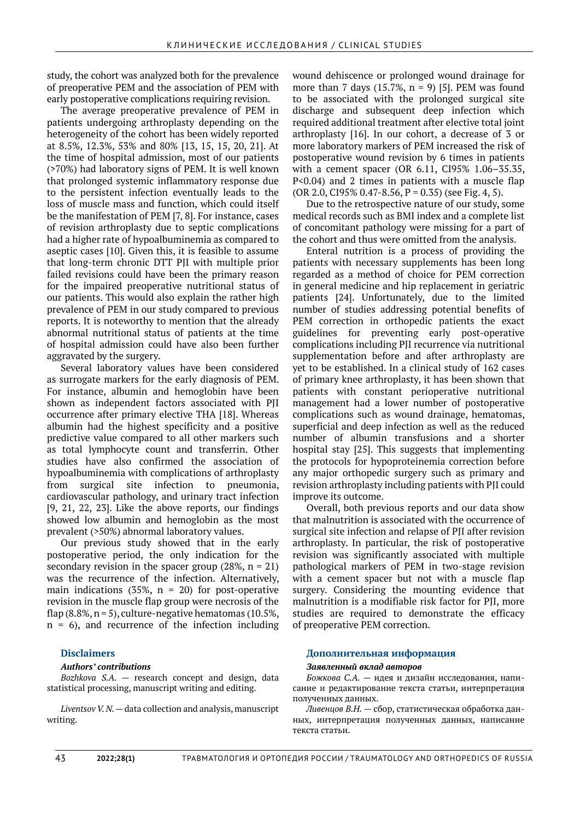study, the cohort was analyzed both for the prevalence of preoperative PEM and the association of PEM with early postoperative complications requiring revision.

The average preoperative prevalence of PEM in patients undergoing arthroplasty depending on the heterogeneity of the cohort has been widely reported at 8.5%, 12.3%, 53% and 80% [13, 15, 15, 20, 21]. At the time of hospital admission, most of our patients (>70%) had laboratory signs of PEM. It is well known that prolonged systemic inflammatory response due to the persistent infection eventually leads to the loss of muscle mass and function, which could itself be the manifestation of PEM [7, 8]. For instance, cases of revision arthroplasty due to septic complications had a higher rate of hypoalbuminemia as compared to aseptic cases [10]. Given this, it is feasible to assume that long-term chronic DTT PJI with multiple prior failed revisions could have been the primary reason for the impaired preoperative nutritional status of our patients. This would also explain the rather high prevalence of PEM in our study compared to previous reports. It is noteworthy to mention that the already abnormal nutritional status of patients at the time of hospital admission could have also been further aggravated by the surgery.

Several laboratory values have been considered as surrogate markers for the early diagnosis of PEM. For instance, albumin and hemoglobin have been shown as independent factors associated with PJI occurrence after primary elective THA [18]. Whereas albumin had the highest specificity and a positive predictive value compared to all other markers such as total lymphocyte count and transferrin. Other studies have also confirmed the association of hypoalbuminemia with complications of arthroplasty from surgical site infection to pneumonia, cardiovascular pathology, and urinary tract infection [9, 21, 22, 23]. Like the above reports, our findings showed low albumin and hemoglobin as the most prevalent (>50%) abnormal laboratory values.

Our previous study showed that in the early postoperative period, the only indication for the secondary revision in the spacer group  $(28\%, n = 21)$ was the recurrence of the infection. Alternatively, main indications (35%,  $n = 20$ ) for post-operative revision in the muscle flap group were necrosis of the flap  $(8.8\%, n=5)$ , culture-negative hematomas  $(10.5\%,$  $n = 6$ ), and recurrence of the infection including

# **Disclaimers**

# *Authors' contributions*

*Bozhkova S.A. —* research concept and design, data statistical processing, manuscript writing and editing.

*Liventsov V. N. —* data collection and analysis, manuscript writing.

wound dehiscence or prolonged wound drainage for more than 7 days  $(15.7\%, n = 9)$  [5]. PEM was found to be associated with the prolonged surgical site discharge and subsequent deep infection which required additional treatment after elective total joint arthroplasty [16]. In our cohort, a decrease of 3 or more laboratory markers of PEM increased the risk of postoperative wound revision by 6 times in patients with a cement spacer (OR 6.11, CI95% 1.06–35.35, P<0.04) and 2 times in patients with a muscle flap  $(OR 2.0, CI95\% 0.47-8.56, P = 0.35)$  (see Fig. 4, 5).

Due to the retrospective nature of our study, some medical records such as BMI index and a complete list of concomitant pathology were missing for a part of the cohort and thus were omitted from the analysis.

Enteral nutrition is a process of providing the patients with necessary supplements has been long regarded as a method of choice for PEM correction in general medicine and hip replacement in geriatric patients [24]. Unfortunately, due to the limited number of studies addressing potential benefits of PEM correction in orthopedic patients the exact guidelines for preventing early post-operative complications including PJI recurrence via nutritional supplementation before and after arthroplasty are yet to be established. In a clinical study of 162 cases of primary knee arthroplasty, it has been shown that patients with constant perioperative nutritional management had a lower number of postoperative complications such as wound drainage, hematomas, superficial and deep infection as well as the reduced number of albumin transfusions and a shorter hospital stay [25]. This suggests that implementing the protocols for hypoproteinemia correction before any major orthopedic surgery such as primary and revision arthroplasty including patients with PJI could improve its outcome.

Overall, both previous reports and our data show that malnutrition is associated with the occurrence of surgical site infection and relapse of PJI after revision arthroplasty. In particular, the risk of postoperative revision was significantly associated with multiple pathological markers of PEM in two-stage revision with a cement spacer but not with a muscle flap surgery. Considering the mounting evidence that malnutrition is a modifiable risk factor for PJI, more studies are required to demonstrate the efficacy of preoperative PEM correction.

# **Дополнительная информация**

### *Заявленный вклад авторов*

*Божкова С.А.* — идея и дизайн исследования, написание и редактирование текста статьи, интерпретация полученных данных.

*Ливенцов В.Н.* — сбор, статистическая обработка данных, интерпретация полученных данных, написание текста статьи.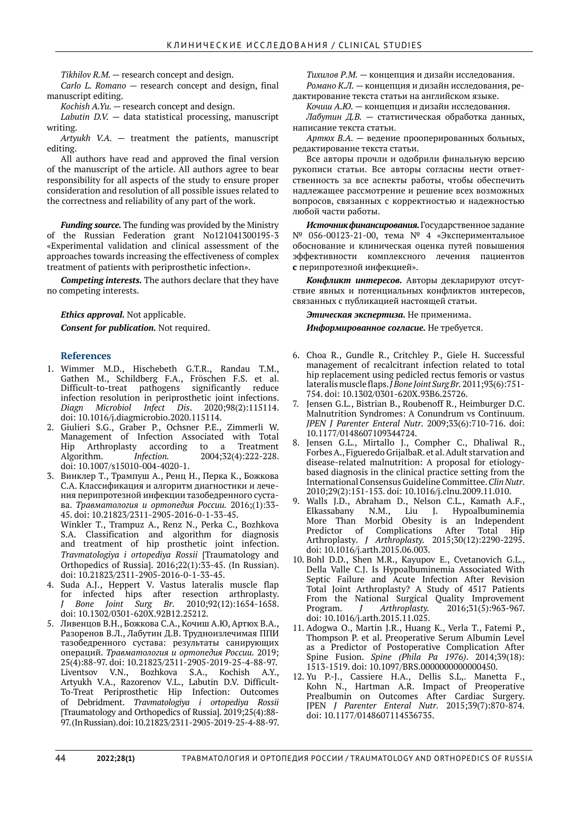*Tikhilov R.M. —* research concept and design.

*Carlo L. Romano —* research concept and design, final manuscript editing.

*Kochish A.Yu. —* research concept and design.

*Labutin D.V. —* data statistical processing, manuscript writing.

*Artyukh V.A. —* treatment the patients, manuscript editing.

All authors have read and approved the final version of the manuscript of the article. All authors agree to bear responsibility for all aspects of the study to ensure proper consideration and resolution of all possible issues related to the correctness and reliability of any part of the work.

*Funding source.* The funding was provided by the Ministry of the Russian Federation grant No121041300195-3 «Experimental validation and clinical assessment of the approaches towards increasing the effectiveness of complex treatment of patients with periprosthetic infection».

*Competing interests.* The authors declare that they have no competing interests.

*Ethics approval.* Not applicable.

*Consent for publication.* Not required.

### **References**

- 1. Wimmer M.D., Hischebeth G.T.R., Randau T.M., Gathen M., Schildberg F.A., Fröschen F.S. et al. Difficult-to-treat pathogens infection resolution in periprosthetic joint infections.<br> *Diagn Microbiol Infect Dis.* 2020;98(2):115114. *Diagn Microbiol Infect Dis.* doi: 10.1016/j.diagmicrobio.2020.115114.
- 2. Giulieri S.G., Graber P., Ochsner P.E., Zimmerli W. Management of Infection Associated with Total Hip Arthroplasty according to a Treatment<br>Algorithm. *Infection*. 2004:32(4):222-228. Algorithm. *Infection.* 2004;32(4):222-228. doi: 10.1007/s15010-004-4020-1.
- 3. Винклер Т., Трампуш А., Ренц Н., Перка К., Божкова С.А. Классификация и алгоритм диагностики и лечения перипротезной инфекции тазобедренного сустава. *Травматология и ортопедия России.* 2016;(1):33- 45. doi: 10.21823/2311-2905-2016-0-1-33-45. Winkler T., Trampuz A., Renz N., Perka C., Bozhkova S.A. Classification and algorithm for diagnosis and treatment of hip prosthetic joint infection. *Travmatologiya i ortopediya Rossii* [Traumatology and Orthopedics of Russia]. 2016;22(1):33-45. (In Russian). doi: 10.21823/2311-2905-2016-0-1-33-45.
- 4. Suda A.J., Heppert V. Vastus lateralis muscle flap for infected hips after resection arthroplasty.<br>  $J$  Bone Joint Surg Br. 2010;92(12):1654-1658. *Bone Joint Surg Br.* doi: 10.1302/0301-620X.92B12.25212.
- 5. Ливенцов В.Н., Божкова С.А., Кочиш А.Ю, Артюх В.А., Разоренов В.Л., Лабутин Д.В. Трудноизлечимая ППИ тазобедренного сустава: результаты санирующих операций. *Травматология и ортопедия России.* 2019; 25(4):88-97. doi: 10.21823/2311-2905-2019-25-4-88-97. Liventsov V.N., Bozhkova S.A., Kochish A.Y., Artyukh V.A., Razorenov V.L., Labutin D.V. Difficult-To-Treat Periprosthetic Hip Infection: Outcomes of Debridment. *Travmatologiya i ortopediya Rossii*  [Traumatology and Orthopedics of Russia]. 2019;25(4):88- 97. (In Russian). doi: 10.21823/2311-2905-2019-25-4-88-97.

*Тихилов Р.М.* — концепция и дизайн исследования. *Романо К.Л.* — концепция и дизайн исследования, ре-

дактирование текста статьи на английском языке. *Кочиш А.Ю.* — концепция и дизайн исследования.

*Лабутин Д.В.* — статистическая обработка данных, написание текста статьи.

*Артюх В.А.* — ведение прооперированных больных, редактирование текста статьи.

Все авторы прочли и одобрили финальную версию рукописи статьи. Все авторы согласны нести ответственность за все аспекты работы, чтобы обеспечить надлежащее рассмотрение и решение всех возможных вопросов, связанных с корректностью и надежностью любой части работы.

*Источник финансирования.* Государственное задание № 056-00123-21-00, тема № 4 «Экспериментальное обоснование и клиническая оценка путей повышения эффективности комплексного лечения пациентов **с** перипротезной инфекцией».

*Конфликт интересов.* Авторы декларируют отсутствие явных и потенциальных конфликтов интересов, связанных с публикацией настоящей статьи.

*Этическая экспертиза.* Не применима.

*Информированное согласие.* Не требуется.

- 6. Choa R., Gundle R., Critchley P., Giele H. Successful management of recalcitrant infection related to total hip replacement using pedicled rectus femoris or vastus lateralis muscle flaps. *J Bone Joint Surg Br.* 2011;93(6):751- 754. doi: 10.1302/0301-620X.93B6.25726.
- 7. Jensen G.L., Bistrian B., Roubenoff R., Heimburger D.C. Malnutrition Syndromes: A Conundrum vs Continuum. *JPEN J Parenter Enteral Nutr.* 2009;33(6):710-716. doi: 10.1177/0148607109344724.
- 8. Jensen G.L., Mirtallo J., Compher C., Dhaliwal R., Forbes A., Figueredo GrijalbaR. et al. Adult starvation and disease-related malnutrition: A proposal for etiologybased diagnosis in the clinical practice setting from the International Consensus Guideline Committee. *Clin Nutr*. 2010;29(2):151-153. doi: 10.1016/j.clnu.2009.11.010.
- 9. Walls J.D., Abraham D., Nelson C.L., Kamath A.F., Elkassabany N.M., Liu J. Hypoalbuminemia More Than Morbid Obesity is an Independent Predictor of Complications After Total Hip Arthroplasty. *J Arthroplasty.* 2015;30(12):2290-2295. doi: 10.1016/j.arth.2015.06.003.
- 10. Bohl D.D., Shen M.R., Kayupov E., Cvetanovich G.L., Della Valle C.J. Is Hypoalbuminemia Associated With Septic Failure and Acute Infection After Revision Total Joint Arthroplasty? A Study of 4517 Patients From the National Surgical Quality Improvement Program. *J Arthroplasty.* 2016;31(5):963-967. doi: 10.1016/j.arth.2015.11.025.
- 11. Adogwa O., Martin J.R., Huang K., Verla T., Fatemi P., Thompson P. et al. Preoperative Serum Albumin Level as a Predictor of Postoperative Complication After Spine Fusion. *Spine (Phila Pa 1976)*. 2014;39(18): 1513-1519. doi: 10.1097/BRS.0000000000000450.
- 12. Yu P.-J., Cassiere H.A., Dellis S.L,. Manetta F., Kohn N., Hartman A.R. Impact of Preoperative Prealbumin on Outcomes After Cardiac Surgery. JPEN *J Parenter Enteral Nutr.* 2015;39(7):870-874. doi: 10.1177/0148607114536735.